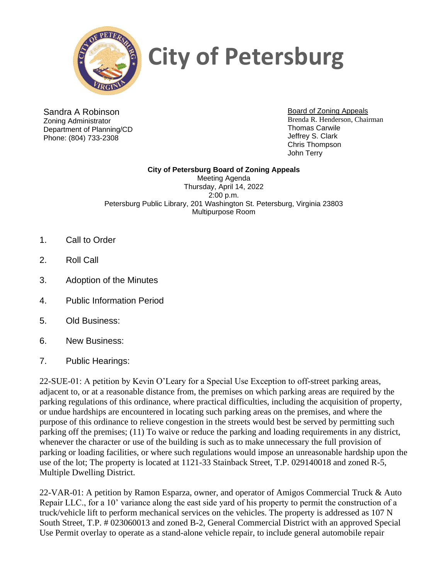

## **City of Petersburg**

Sandra A Robinson Zoning Administrator Department of Planning/CD Phone: (804) 733-2308

Board of Zoning Appeals Brenda R. Henderson, Chairman Thomas Carwile Jeffrey S. Clark Chris Thompson John Terry

**City of Petersburg Board of Zoning Appeals** Meeting Agenda Thursday, April 14, 2022 2:00 p.m. Petersburg Public Library, 201 Washington St. Petersburg, Virginia 23803 Multipurpose Room

- 1. Call to Order
- 2. Roll Call
- 3. Adoption of the Minutes
- 4. Public Information Period
- 5. Old Business:
- 6. New Business:
- 7. Public Hearings:

22-SUE-01: A petition by Kevin O'Leary for a Special Use Exception to off-street parking areas, adjacent to, or at a reasonable distance from, the premises on which parking areas are required by the parking regulations of this ordinance, where practical difficulties, including the acquisition of property, or undue hardships are encountered in locating such parking areas on the premises, and where the purpose of this ordinance to relieve congestion in the streets would best be served by permitting such parking off the premises; (11) To waive or reduce the parking and loading requirements in any district, whenever the character or use of the building is such as to make unnecessary the full provision of parking or loading facilities, or where such regulations would impose an unreasonable hardship upon the use of the lot; The property is located at 1121-33 Stainback Street, T.P. 029140018 and zoned R-5, Multiple Dwelling District.

22-VAR-01: A petition by Ramon Esparza, owner, and operator of Amigos Commercial Truck & Auto Repair LLC., for a 10' variance along the east side yard of his property to permit the construction of a truck/vehicle lift to perform mechanical services on the vehicles. The property is addressed as 107 N South Street, T.P. # 023060013 and zoned B-2, General Commercial District with an approved Special Use Permit overlay to operate as a stand-alone vehicle repair, to include general automobile repair